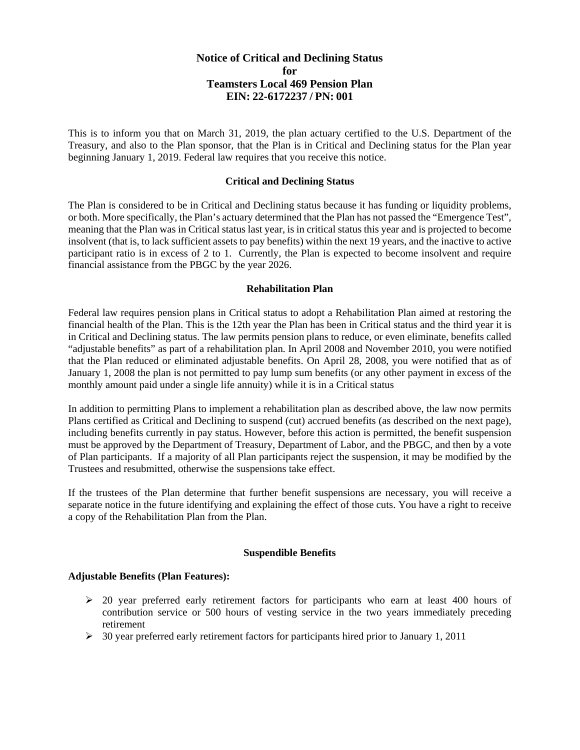# **Notice of Critical and Declining Status for Teamsters Local 469 Pension Plan EIN: 22-6172237 / PN: 001**

This is to inform you that on March 31, 2019, the plan actuary certified to the U.S. Department of the Treasury, and also to the Plan sponsor, that the Plan is in Critical and Declining status for the Plan year beginning January 1, 2019. Federal law requires that you receive this notice.

## **Critical and Declining Status**

The Plan is considered to be in Critical and Declining status because it has funding or liquidity problems, or both. More specifically, the Plan's actuary determined that the Plan has not passed the "Emergence Test", meaning that the Plan was in Critical status last year, is in critical status this year and is projected to become insolvent (that is, to lack sufficient assets to pay benefits) within the next 19 years, and the inactive to active participant ratio is in excess of 2 to 1. Currently, the Plan is expected to become insolvent and require financial assistance from the PBGC by the year 2026.

### **Rehabilitation Plan**

Federal law requires pension plans in Critical status to adopt a Rehabilitation Plan aimed at restoring the financial health of the Plan. This is the 12th year the Plan has been in Critical status and the third year it is in Critical and Declining status. The law permits pension plans to reduce, or even eliminate, benefits called "adjustable benefits" as part of a rehabilitation plan. In April 2008 and November 2010, you were notified that the Plan reduced or eliminated adjustable benefits. On April 28, 2008, you were notified that as of January 1, 2008 the plan is not permitted to pay lump sum benefits (or any other payment in excess of the monthly amount paid under a single life annuity) while it is in a Critical status

In addition to permitting Plans to implement a rehabilitation plan as described above, the law now permits Plans certified as Critical and Declining to suspend (cut) accrued benefits (as described on the next page), including benefits currently in pay status. However, before this action is permitted, the benefit suspension must be approved by the Department of Treasury, Department of Labor, and the PBGC, and then by a vote of Plan participants. If a majority of all Plan participants reject the suspension, it may be modified by the Trustees and resubmitted, otherwise the suspensions take effect.

If the trustees of the Plan determine that further benefit suspensions are necessary, you will receive a separate notice in the future identifying and explaining the effect of those cuts. You have a right to receive a copy of the Rehabilitation Plan from the Plan.

#### **Suspendible Benefits**

#### **Adjustable Benefits (Plan Features):**

- $\geq$  20 year preferred early retirement factors for participants who earn at least 400 hours of contribution service or 500 hours of vesting service in the two years immediately preceding retirement
- $\geq$  30 year preferred early retirement factors for participants hired prior to January 1, 2011